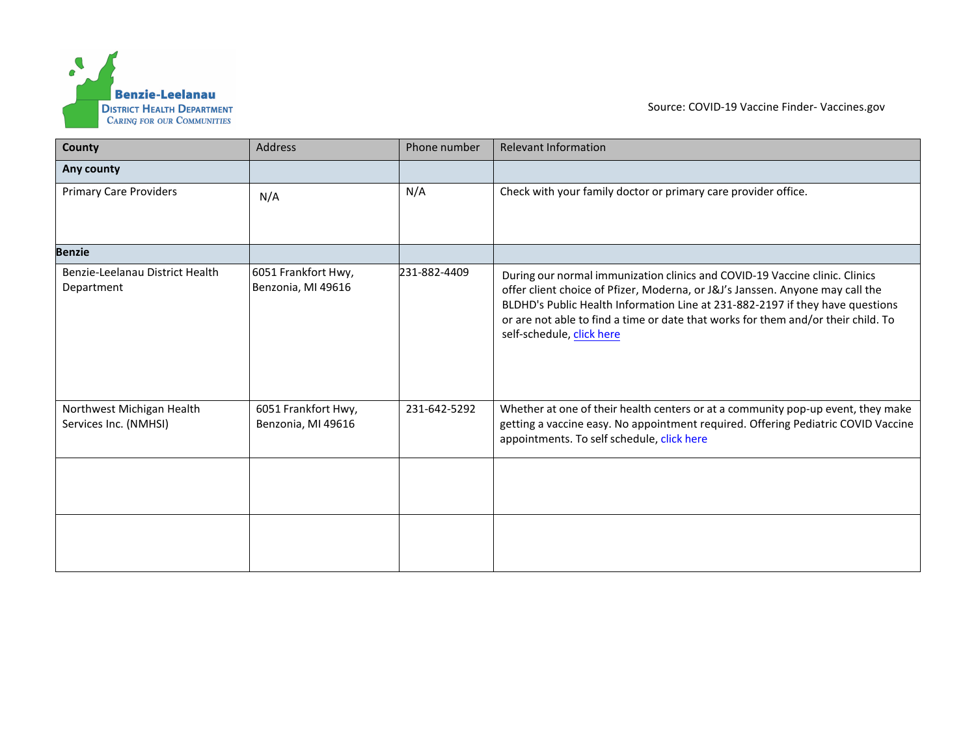

Source: COVID-19 Vaccine Finder- [Vaccines.gov](https://www.vaccines.gov/)

| County                                             | <b>Address</b>                            | Phone number | <b>Relevant Information</b>                                                                                                                                                                                                                                                                                                                                     |
|----------------------------------------------------|-------------------------------------------|--------------|-----------------------------------------------------------------------------------------------------------------------------------------------------------------------------------------------------------------------------------------------------------------------------------------------------------------------------------------------------------------|
| Any county                                         |                                           |              |                                                                                                                                                                                                                                                                                                                                                                 |
| <b>Primary Care Providers</b>                      | N/A                                       | N/A          | Check with your family doctor or primary care provider office.                                                                                                                                                                                                                                                                                                  |
| <b>Benzie</b>                                      |                                           |              |                                                                                                                                                                                                                                                                                                                                                                 |
| Benzie-Leelanau District Health<br>Department      | 6051 Frankfort Hwy,<br>Benzonia, MI 49616 | 231-882-4409 | During our normal immunization clinics and COVID-19 Vaccine clinic. Clinics<br>offer client choice of Pfizer, Moderna, or J&J's Janssen. Anyone may call the<br>BLDHD's Public Health Information Line at 231-882-2197 if they have questions<br>or are not able to find a time or date that works for them and/or their child. To<br>self-schedule, click here |
| Northwest Michigan Health<br>Services Inc. (NMHSI) | 6051 Frankfort Hwy,<br>Benzonia, MI 49616 | 231-642-5292 | Whether at one of their health centers or at a community pop-up event, they make<br>getting a vaccine easy. No appointment required. Offering Pediatric COVID Vaccine<br>appointments. To self schedule, click here                                                                                                                                             |
|                                                    |                                           |              |                                                                                                                                                                                                                                                                                                                                                                 |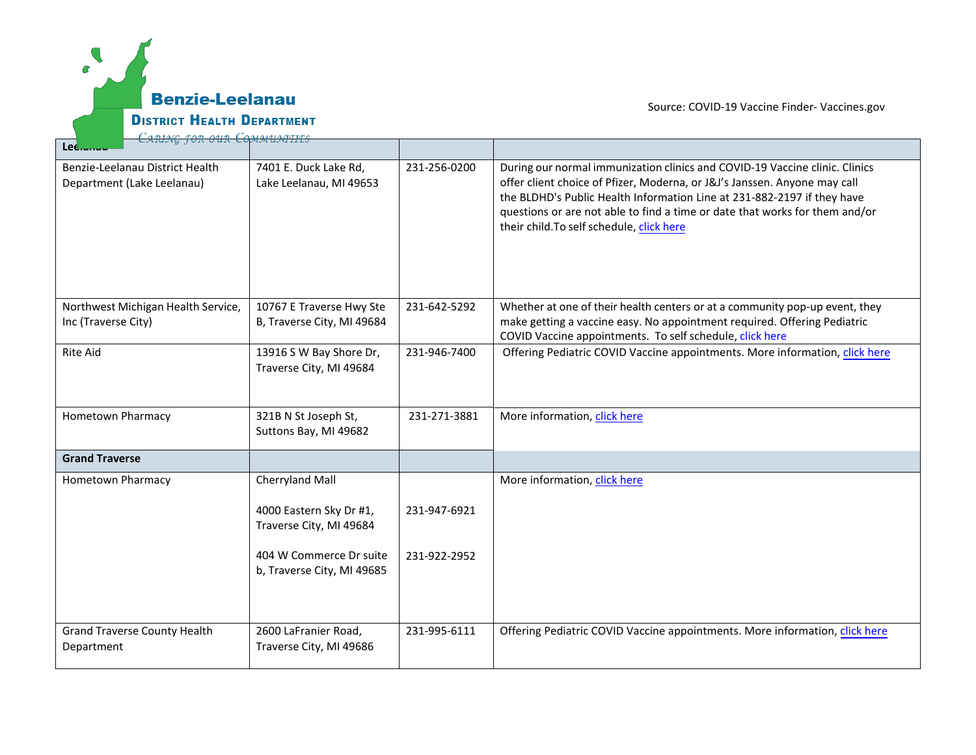

[Source: COVID-19 Vaccine](https://www.vaccines.gov/) Finder- Vaccines.gov

| Leciumu                                                       |                                                                       |              |                                                                                                                                                                                                                                                                                                                                                                 |
|---------------------------------------------------------------|-----------------------------------------------------------------------|--------------|-----------------------------------------------------------------------------------------------------------------------------------------------------------------------------------------------------------------------------------------------------------------------------------------------------------------------------------------------------------------|
| Benzie-Leelanau District Health<br>Department (Lake Leelanau) | 7401 E. Duck Lake Rd,<br>Lake Leelanau, MI 49653                      | 231-256-0200 | During our normal immunization clinics and COVID-19 Vaccine clinic. Clinics<br>offer client choice of Pfizer, Moderna, or J&J's Janssen. Anyone may call<br>the BLDHD's Public Health Information Line at 231-882-2197 if they have<br>questions or are not able to find a time or date that works for them and/or<br>their child. To self schedule, click here |
| Northwest Michigan Health Service,<br>Inc (Traverse City)     | 10767 E Traverse Hwy Ste<br>B, Traverse City, MI 49684                | 231-642-5292 | Whether at one of their health centers or at a community pop-up event, they<br>make getting a vaccine easy. No appointment required. Offering Pediatric<br>COVID Vaccine appointments. To self schedule, click here                                                                                                                                             |
| <b>Rite Aid</b>                                               | 13916 S W Bay Shore Dr,<br>Traverse City, MI 49684                    | 231-946-7400 | Offering Pediatric COVID Vaccine appointments. More information, click here                                                                                                                                                                                                                                                                                     |
| Hometown Pharmacy                                             | 321B N St Joseph St,<br>Suttons Bay, MI 49682                         | 231-271-3881 | More information, click here                                                                                                                                                                                                                                                                                                                                    |
| <b>Grand Traverse</b>                                         |                                                                       |              |                                                                                                                                                                                                                                                                                                                                                                 |
| Hometown Pharmacy                                             | Cherryland Mall<br>4000 Eastern Sky Dr #1,<br>Traverse City, MI 49684 | 231-947-6921 | More information, click here                                                                                                                                                                                                                                                                                                                                    |
|                                                               | 404 W Commerce Dr suite<br>b, Traverse City, MI 49685                 | 231-922-2952 |                                                                                                                                                                                                                                                                                                                                                                 |
| <b>Grand Traverse County Health</b><br>Department             | 2600 LaFranier Road,<br>Traverse City, MI 49686                       | 231-995-6111 | Offering Pediatric COVID Vaccine appointments. More information, click here                                                                                                                                                                                                                                                                                     |